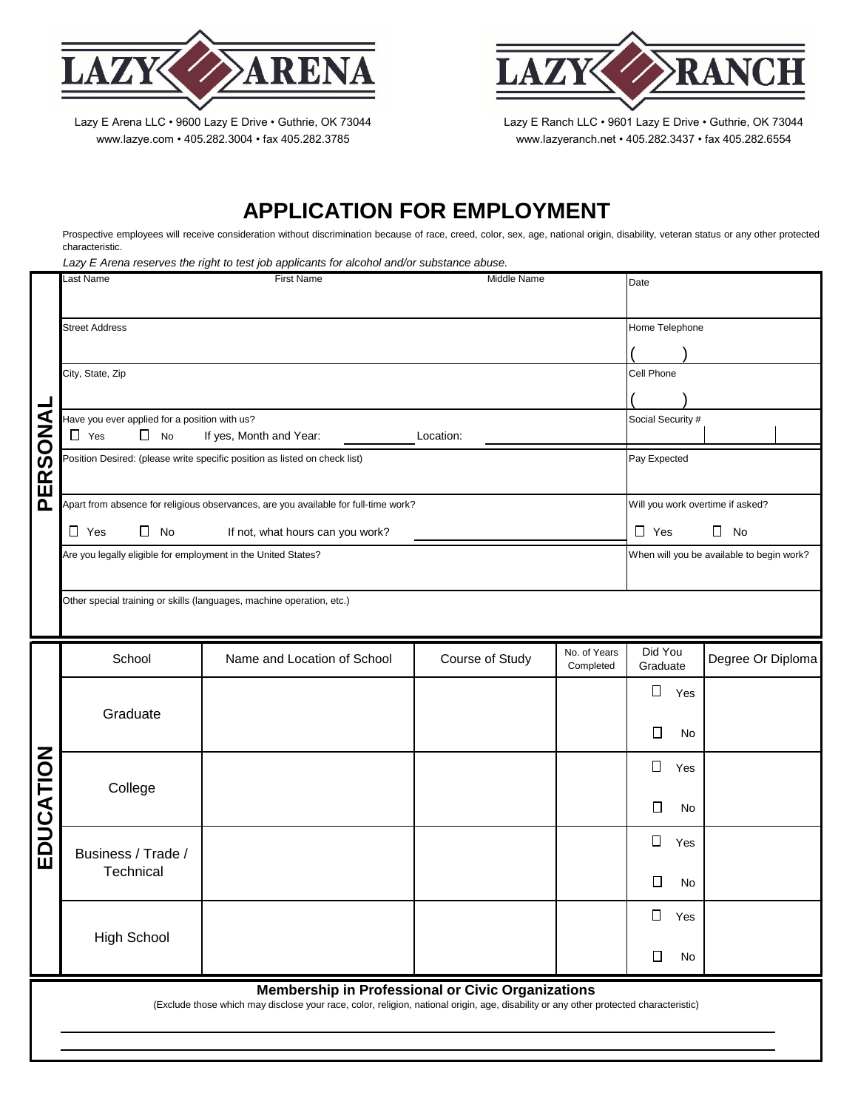

Lazy E Arena LLC · 9600 Lazy E Drive · Guthrie, OK 73044 www.lazye.com • 405.282.3004 • fax 405.282.3785

Lazy E Ranch LLC · 9601 Lazy E Drive · Guthrie, OK 73044 www.lazyeranch.net • 405.282.3437 • fax 405.282.6554

## **APPLICATION FOR EMPLOYMENT**

Prospective employees will receive consideration without discrimination because of race, creed, color, sex, age, national origin, disability, veteran status or any other protected characteristic.

*Lazy E Arena reserves the right to test job applicants for alcohol and/or substance abuse.*

| -<br>PERSONA                                                                                                                                                                                      | ast Name<br><b>First Name</b><br>Middle Name                                                                                          |                             | Date            |                            |                               |                                           |  |
|---------------------------------------------------------------------------------------------------------------------------------------------------------------------------------------------------|---------------------------------------------------------------------------------------------------------------------------------------|-----------------------------|-----------------|----------------------------|-------------------------------|-------------------------------------------|--|
|                                                                                                                                                                                                   | <b>Street Address</b>                                                                                                                 |                             |                 |                            |                               | Home Telephone                            |  |
|                                                                                                                                                                                                   | City, State, Zip                                                                                                                      |                             |                 |                            |                               |                                           |  |
|                                                                                                                                                                                                   | Cell Phone                                                                                                                            |                             |                 |                            |                               |                                           |  |
|                                                                                                                                                                                                   | Have you ever applied for a position with us?<br>Social Security #<br>$\Box$ No<br>$\Box$ Yes<br>If yes, Month and Year:<br>Location: |                             |                 |                            |                               |                                           |  |
|                                                                                                                                                                                                   | Position Desired: (please write specific position as listed on check list)<br>Pay Expected                                            |                             |                 |                            |                               |                                           |  |
|                                                                                                                                                                                                   | Apart from absence for religious observances, are you available for full-time work?                                                   |                             |                 |                            |                               | Will you work overtime if asked?          |  |
|                                                                                                                                                                                                   | $\Box$ Yes<br>$\Box$ No<br>If not, what hours can you work?                                                                           |                             |                 | $\Box$ Yes<br>$\Box$<br>No |                               |                                           |  |
|                                                                                                                                                                                                   | Are you legally eligible for employment in the United States?                                                                         |                             |                 |                            |                               | When will you be available to begin work? |  |
|                                                                                                                                                                                                   | Other special training or skills (languages, machine operation, etc.)                                                                 |                             |                 |                            |                               |                                           |  |
| EDUCATION                                                                                                                                                                                         | School                                                                                                                                | Name and Location of School | Course of Study | No. of Years<br>Completed  | Did You<br>Graduate           | Degree Or Diploma                         |  |
|                                                                                                                                                                                                   | Graduate                                                                                                                              |                             |                 |                            | $\Box$<br>Yes<br>$\Box$<br>No |                                           |  |
|                                                                                                                                                                                                   |                                                                                                                                       |                             |                 |                            |                               |                                           |  |
|                                                                                                                                                                                                   | College                                                                                                                               |                             |                 |                            | $\Box$<br>Yes                 |                                           |  |
|                                                                                                                                                                                                   |                                                                                                                                       |                             |                 |                            | $\Box$<br>No                  |                                           |  |
|                                                                                                                                                                                                   | Business / Trade /                                                                                                                    |                             |                 |                            | $\Box$<br>Yes                 |                                           |  |
|                                                                                                                                                                                                   | Technical                                                                                                                             |                             |                 |                            | П<br>No                       |                                           |  |
|                                                                                                                                                                                                   | <b>High School</b>                                                                                                                    |                             |                 |                            | □<br>Yes                      |                                           |  |
|                                                                                                                                                                                                   |                                                                                                                                       |                             |                 |                            | □<br>No                       |                                           |  |
| <b>Membership in Professional or Civic Organizations</b><br>(Exclude those which may disclose your race, color, religion, national origin, age, disability or any other protected characteristic) |                                                                                                                                       |                             |                 |                            |                               |                                           |  |
|                                                                                                                                                                                                   |                                                                                                                                       |                             |                 |                            |                               |                                           |  |